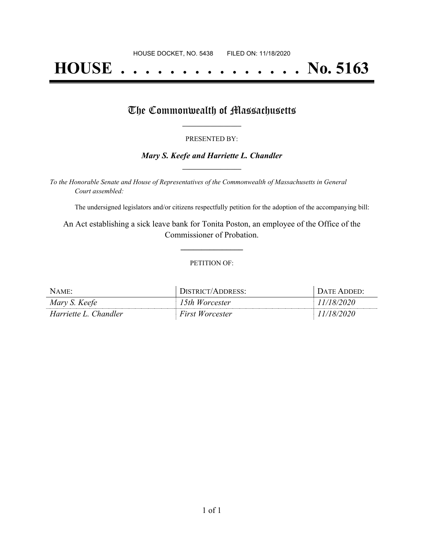# **HOUSE . . . . . . . . . . . . . . . No. 5163**

## The Commonwealth of Massachusetts

#### PRESENTED BY:

#### *Mary S. Keefe and Harriette L. Chandler* **\_\_\_\_\_\_\_\_\_\_\_\_\_\_\_\_\_**

*To the Honorable Senate and House of Representatives of the Commonwealth of Massachusetts in General Court assembled:*

The undersigned legislators and/or citizens respectfully petition for the adoption of the accompanying bill:

An Act establishing a sick leave bank for Tonita Poston, an employee of the Office of the Commissioner of Probation.

**\_\_\_\_\_\_\_\_\_\_\_\_\_\_\_**

#### PETITION OF:

| $N$ AME:              | DISTRICT/ADDRESS:      | $\Gamma$ Date Added: |
|-----------------------|------------------------|----------------------|
| Mary S. Keefe         | 15th Worcester         | 11/18/2020           |
| Harriette L. Chandler | <b>First Worcester</b> | 11/18/2020           |